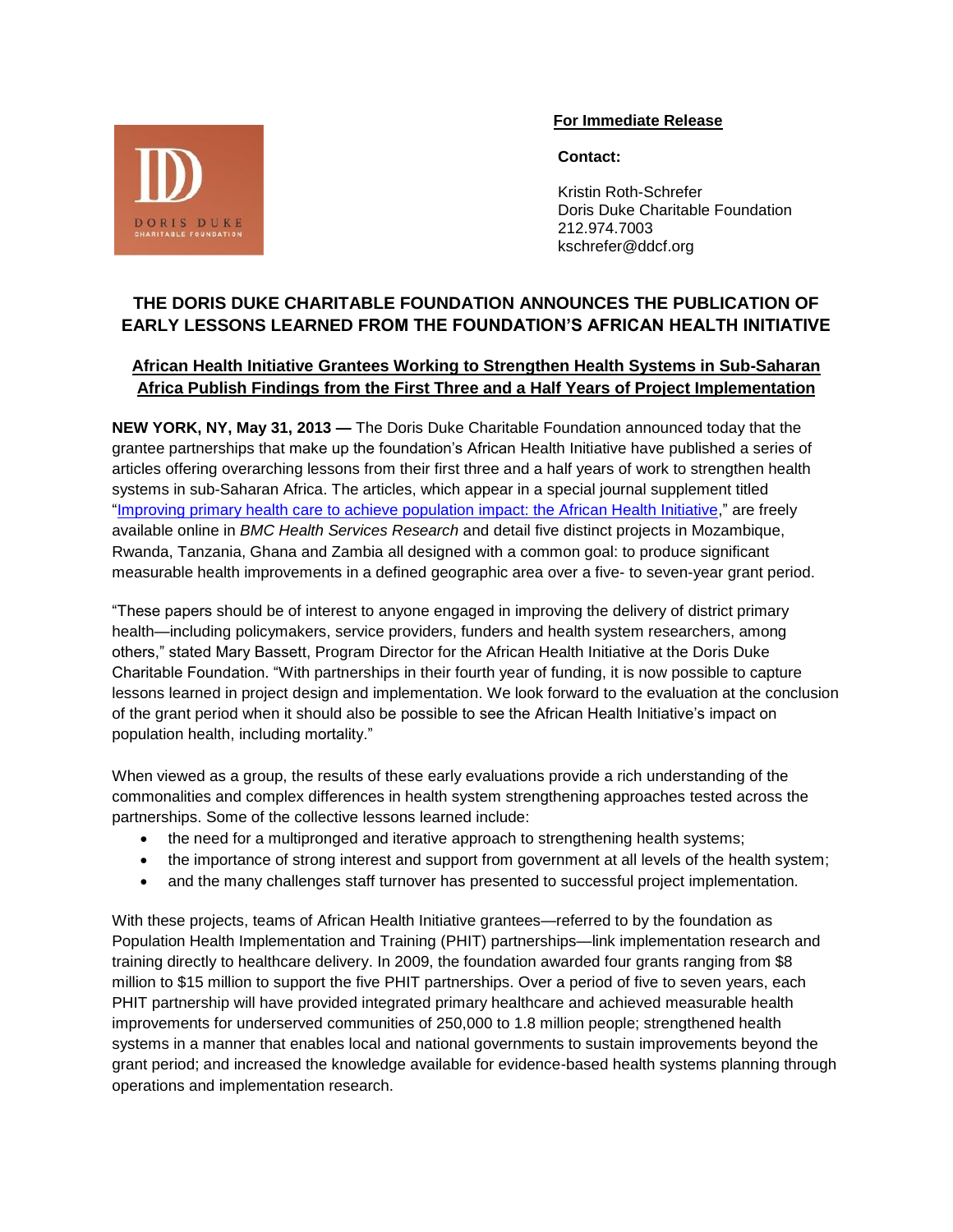

## **For Immediate Release**

 **Contact:**

 Kristin Roth-Schrefer Doris Duke Charitable Foundation 212.974.7003 kschrefer@ddcf.org

# **THE DORIS DUKE CHARITABLE FOUNDATION ANNOUNCES THE PUBLICATION OF EARLY LESSONS LEARNED FROM THE FOUNDATION'S AFRICAN HEALTH INITIATIVE**

## **African Health Initiative Grantees Working to Strengthen Health Systems in Sub-Saharan Africa Publish Findings from the First Three and a Half Years of Project Implementation**

**NEW YORK, NY, May 31, 2013 —** The Doris Duke Charitable Foundation announced today that the grantee partnerships that make up the foundation's African Health Initiative have published a series of articles offering overarching lessons from their first three and a half years of work to strengthen health systems in sub-Saharan Africa. The articles, which appear in a special journal supplement titled ["Improving primary health care to achieve population impact: the African Health Initiative,](http://www.biomedcentral.com/bmchealthservres/supplements/13/S2)" are freely available online in *BMC Health Services Research* and detail five distinct projects in Mozambique, Rwanda, Tanzania, Ghana and Zambia all designed with a common goal: to produce significant measurable health improvements in a defined geographic area over a five- to seven-year grant period.

"These papers should be of interest to anyone engaged in improving the delivery of district primary health—including policymakers, service providers, funders and health system researchers, among others," stated Mary Bassett, Program Director for the African Health Initiative at the Doris Duke Charitable Foundation. "With partnerships in their fourth year of funding, it is now possible to capture lessons learned in project design and implementation. We look forward to the evaluation at the conclusion of the grant period when it should also be possible to see the African Health Initiative's impact on population health, including mortality."

When viewed as a group, the results of these early evaluations provide a rich understanding of the commonalities and complex differences in health system strengthening approaches tested across the partnerships. Some of the collective lessons learned include:

- the need for a multipronged and iterative approach to strengthening health systems;
- the importance of strong interest and support from government at all levels of the health system;
- and the many challenges staff turnover has presented to successful project implementation.

With these projects, teams of African Health Initiative grantees—referred to by the foundation as Population Health Implementation and Training (PHIT) partnerships—link implementation research and training directly to healthcare delivery. In 2009, the foundation awarded four grants ranging from \$8 million to \$15 million to support the five PHIT partnerships. Over a period of five to seven years, each PHIT partnership will have provided integrated primary healthcare and achieved measurable health improvements for underserved communities of 250,000 to 1.8 million people; strengthened health systems in a manner that enables local and national governments to sustain improvements beyond the grant period; and increased the knowledge available for evidence-based health systems planning through operations and implementation research.